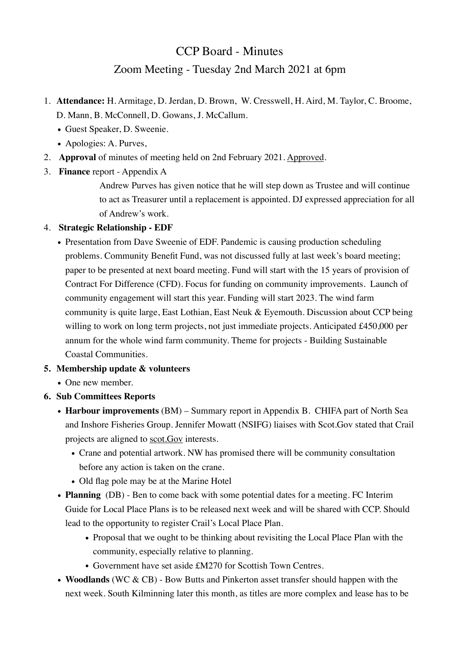# CCP Board - Minutes Zoom Meeting - Tuesday 2nd March 2021 at 6pm

- 1. **Attendance:** H. Armitage, D. Jerdan, D. Brown, W. Cresswell, H. Aird, M. Taylor, C. Broome, D. Mann, B. McConnell, D. Gowans, J. McCallum.
	- Guest Speaker, D. Sweenie.
	- Apologies: A. Purves,
- 2. **Approval** of minutes of meeting held on 2nd February 2021. Approved.
- 3. **Finance** report Appendix A

Andrew Purves has given notice that he will step down as Trustee and will continue to act as Treasurer until a replacement is appointed. DJ expressed appreciation for all of Andrew's work.

## 4. **Strategic Relationship - EDF**

• Presentation from Dave Sweenie of EDF. Pandemic is causing production scheduling problems. Community Benefit Fund, was not discussed fully at last week's board meeting; paper to be presented at next board meeting. Fund will start with the 15 years of provision of Contract For Difference (CFD). Focus for funding on community improvements. Launch of community engagement will start this year. Funding will start 2023. The wind farm community is quite large, East Lothian, East Neuk & Eyemouth. Discussion about CCP being willing to work on long term projects, not just immediate projects. Anticipated £450,000 per annum for the whole wind farm community. Theme for projects - Building Sustainable Coastal Communities.

## **5. Membership update & volunteers**

- One new member.
- **6. Sub Committees Reports**
	- **Harbour improvements** (BM) Summary report in Appendix B. CHIFA part of North Sea and Inshore Fisheries Group. Jennifer Mowatt (NSIFG) liaises with Scot.Gov stated that Crail projects are aligned to [scot.Gov](http://scot.Gov) interests.
		- Crane and potential artwork. NW has promised there will be community consultation before any action is taken on the crane.
		- Old flag pole may be at the Marine Hotel
	- **Planning** (DB) Ben to come back with some potential dates for a meeting. FC Interim Guide for Local Place Plans is to be released next week and will be shared with CCP. Should lead to the opportunity to register Crail's Local Place Plan.
		- Proposal that we ought to be thinking about revisiting the Local Place Plan with the community, especially relative to planning.
		- Government have set aside £M270 for Scottish Town Centres.
	- **Woodlands** (WC & CB) Bow Butts and Pinkerton asset transfer should happen with the next week. South Kilminning later this month, as titles are more complex and lease has to be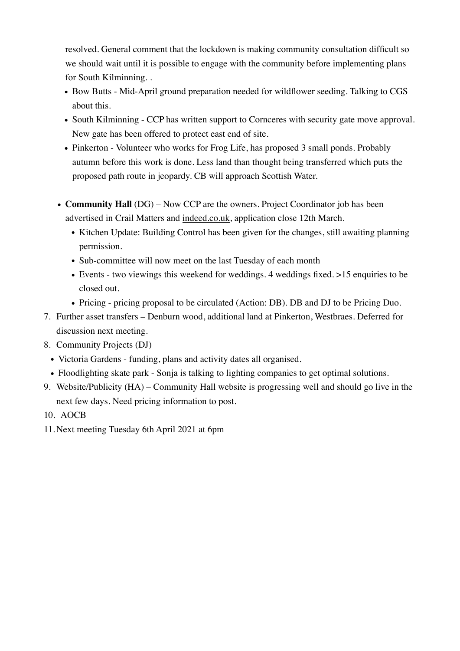resolved. General comment that the lockdown is making community consultation difficult so we should wait until it is possible to engage with the community before implementing plans for South Kilminning. .

- Bow Butts Mid-April ground preparation needed for wildflower seeding. Talking to CGS about this.
- South Kilminning CCP has written support to Cornceres with security gate move approval. New gate has been offered to protect east end of site.
- Pinkerton Volunteer who works for Frog Life, has proposed 3 small ponds. Probably autumn before this work is done. Less land than thought being transferred which puts the proposed path route in jeopardy. CB will approach Scottish Water.
- **Community Hall** (DG) Now CCP are the owners. Project Coordinator job has been advertised in Crail Matters and [indeed.co.uk](http://indeed.co.uk), application close 12th March.
	- Kitchen Update: Building Control has been given for the changes, still awaiting planning permission.
	- Sub-committee will now meet on the last Tuesday of each month
	- Events two viewings this weekend for weddings. 4 weddings fixed. >15 enquiries to be closed out.
	- Pricing pricing proposal to be circulated (Action: DB). DB and DJ to be Pricing Duo.
- 7. Further asset transfers Denburn wood, additional land at Pinkerton, Westbraes. Deferred for discussion next meeting.
- 8. Community Projects (DJ)
	- Victoria Gardens funding, plans and activity dates all organised.
	- Floodlighting skate park Sonja is talking to lighting companies to get optimal solutions.
- 9. Website/Publicity (HA) Community Hall website is progressing well and should go live in the next few days. Need pricing information to post.
- 10. AOCB
- 11. Next meeting Tuesday 6th April 2021 at 6pm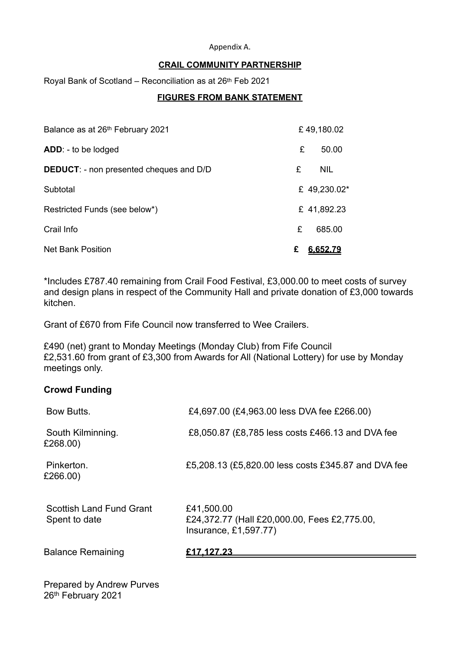#### Appendix A.

#### **CRAIL COMMUNITY PARTNERSHIP**

Royal Bank of Scotland – Reconciliation as at 26th Feb 2021

#### **FIGURES FROM BANK STATEMENT**

| Balance as at 26th February 2021               |   | £49,180.02   |
|------------------------------------------------|---|--------------|
| ADD: - to be lodged                            | £ | 50.00        |
| <b>DEDUCT:</b> - non presented cheques and D/D | £ | <b>NIL</b>   |
| Subtotal                                       |   | £ 49,230.02* |
| Restricted Funds (see below*)                  |   | £41,892.23   |
| Crail Info                                     | £ | 685.00       |
| <b>Net Bank Position</b>                       | £ | 6.652.79     |

\*Includes £787.40 remaining from Crail Food Festival, £3,000.00 to meet costs of survey and design plans in respect of the Community Hall and private donation of £3,000 towards kitchen.

Grant of £670 from Fife Council now transferred to Wee Crailers.

£490 (net) grant to Monday Meetings (Monday Club) from Fife Council £2,531.60 from grant of £3,300 from Awards for All (National Lottery) for use by Monday meetings only.

#### **Crowd Funding**

| Bow Butts.                                | £4,697.00 (£4,963.00 less DVA fee £266.00)                                          |
|-------------------------------------------|-------------------------------------------------------------------------------------|
| South Kilminning.<br>£268.00)             | £8,050.87 (£8,785 less costs £466.13 and DVA fee                                    |
| Pinkerton.<br>£266.00)                    | £5,208.13 (£5,820.00 less costs £345.87 and DVA fee                                 |
| Scottish Land Fund Grant<br>Spent to date | £41,500.00<br>£24,372.77 (Hall £20,000.00, Fees £2,775.00,<br>Insurance, £1,597.77) |
| <b>Balance Remaining</b>                  | £17.12 <u>7.23</u>                                                                  |
|                                           |                                                                                     |

Prepared by Andrew Purves 26<sup>th</sup> February 2021